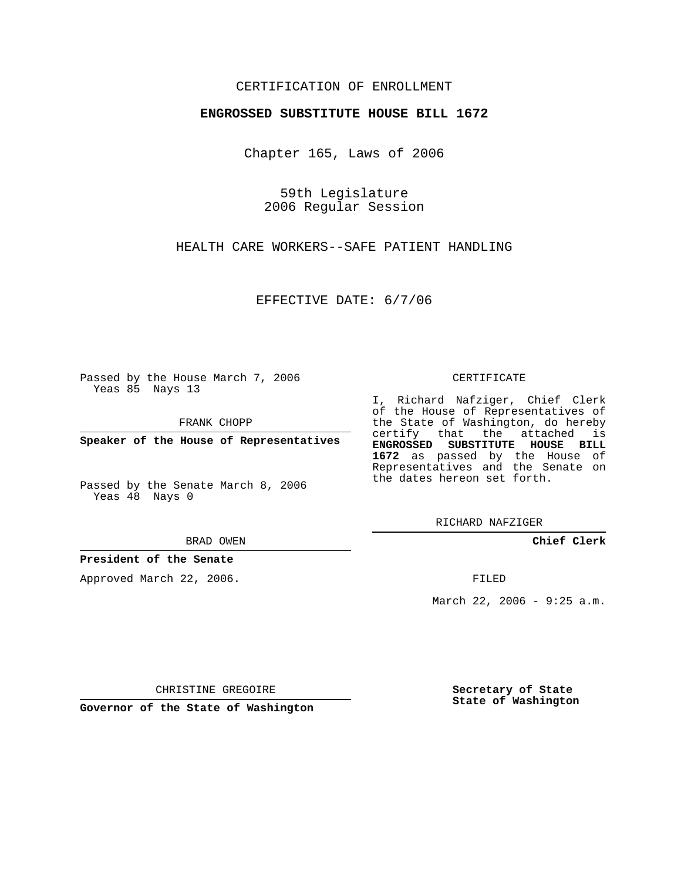## CERTIFICATION OF ENROLLMENT

## **ENGROSSED SUBSTITUTE HOUSE BILL 1672**

Chapter 165, Laws of 2006

59th Legislature 2006 Regular Session

HEALTH CARE WORKERS--SAFE PATIENT HANDLING

EFFECTIVE DATE: 6/7/06

Passed by the House March 7, 2006 Yeas 85 Nays 13

FRANK CHOPP

**Speaker of the House of Representatives**

Passed by the Senate March 8, 2006 Yeas 48 Nays 0

BRAD OWEN

**President of the Senate**

Approved March 22, 2006.

CERTIFICATE

I, Richard Nafziger, Chief Clerk of the House of Representatives of the State of Washington, do hereby certify that the attached is **ENGROSSED SUBSTITUTE HOUSE BILL 1672** as passed by the House of Representatives and the Senate on the dates hereon set forth.

RICHARD NAFZIGER

**Chief Clerk**

FILED

March 22, 2006 - 9:25 a.m.

CHRISTINE GREGOIRE

**Governor of the State of Washington**

**Secretary of State State of Washington**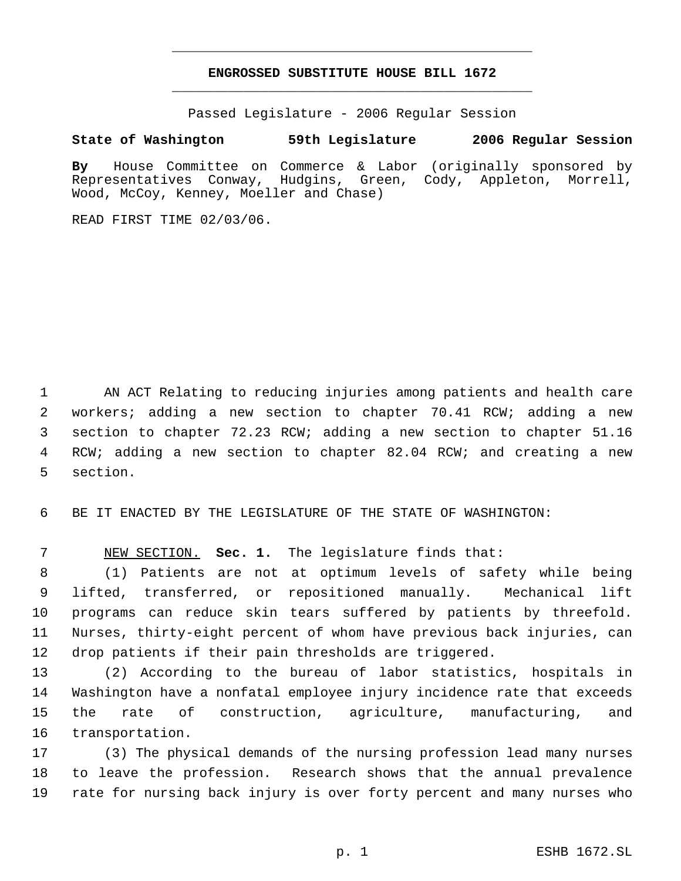## **ENGROSSED SUBSTITUTE HOUSE BILL 1672** \_\_\_\_\_\_\_\_\_\_\_\_\_\_\_\_\_\_\_\_\_\_\_\_\_\_\_\_\_\_\_\_\_\_\_\_\_\_\_\_\_\_\_\_\_

\_\_\_\_\_\_\_\_\_\_\_\_\_\_\_\_\_\_\_\_\_\_\_\_\_\_\_\_\_\_\_\_\_\_\_\_\_\_\_\_\_\_\_\_\_

Passed Legislature - 2006 Regular Session

## **State of Washington 59th Legislature 2006 Regular Session**

**By** House Committee on Commerce & Labor (originally sponsored by Representatives Conway, Hudgins, Green, Cody, Appleton, Morrell, Wood, McCoy, Kenney, Moeller and Chase)

READ FIRST TIME 02/03/06.

 AN ACT Relating to reducing injuries among patients and health care workers; adding a new section to chapter 70.41 RCW; adding a new section to chapter 72.23 RCW; adding a new section to chapter 51.16 RCW; adding a new section to chapter 82.04 RCW; and creating a new section.

BE IT ENACTED BY THE LEGISLATURE OF THE STATE OF WASHINGTON:

NEW SECTION. **Sec. 1.** The legislature finds that:

 (1) Patients are not at optimum levels of safety while being lifted, transferred, or repositioned manually. Mechanical lift programs can reduce skin tears suffered by patients by threefold. Nurses, thirty-eight percent of whom have previous back injuries, can drop patients if their pain thresholds are triggered.

 (2) According to the bureau of labor statistics, hospitals in Washington have a nonfatal employee injury incidence rate that exceeds the rate of construction, agriculture, manufacturing, and transportation.

 (3) The physical demands of the nursing profession lead many nurses to leave the profession. Research shows that the annual prevalence rate for nursing back injury is over forty percent and many nurses who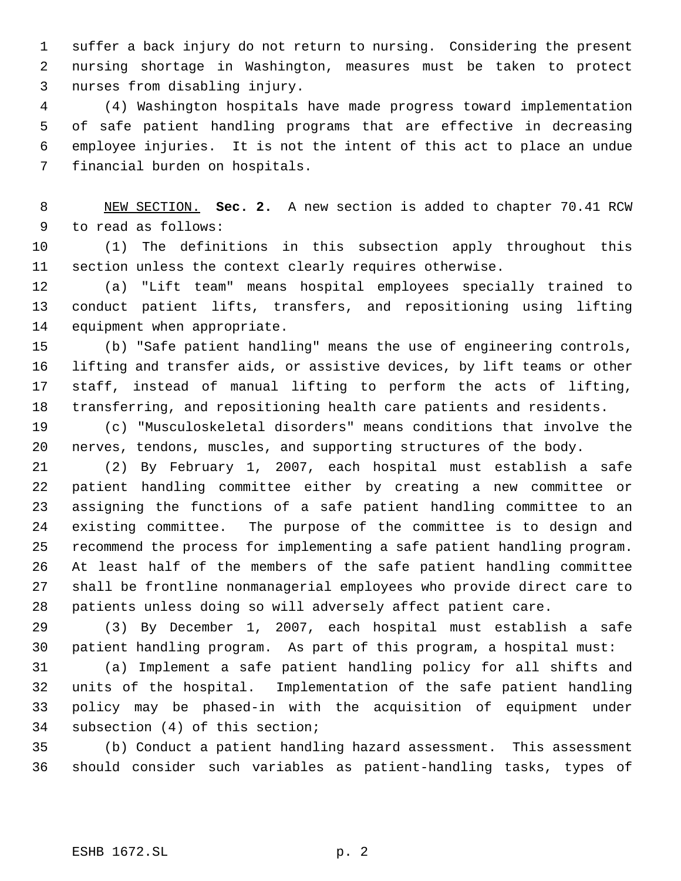suffer a back injury do not return to nursing. Considering the present nursing shortage in Washington, measures must be taken to protect nurses from disabling injury.

 (4) Washington hospitals have made progress toward implementation of safe patient handling programs that are effective in decreasing employee injuries. It is not the intent of this act to place an undue financial burden on hospitals.

 NEW SECTION. **Sec. 2.** A new section is added to chapter 70.41 RCW to read as follows:

 (1) The definitions in this subsection apply throughout this section unless the context clearly requires otherwise.

 (a) "Lift team" means hospital employees specially trained to conduct patient lifts, transfers, and repositioning using lifting equipment when appropriate.

 (b) "Safe patient handling" means the use of engineering controls, lifting and transfer aids, or assistive devices, by lift teams or other staff, instead of manual lifting to perform the acts of lifting, transferring, and repositioning health care patients and residents.

 (c) "Musculoskeletal disorders" means conditions that involve the nerves, tendons, muscles, and supporting structures of the body.

 (2) By February 1, 2007, each hospital must establish a safe patient handling committee either by creating a new committee or assigning the functions of a safe patient handling committee to an existing committee. The purpose of the committee is to design and recommend the process for implementing a safe patient handling program. At least half of the members of the safe patient handling committee shall be frontline nonmanagerial employees who provide direct care to patients unless doing so will adversely affect patient care.

 (3) By December 1, 2007, each hospital must establish a safe patient handling program. As part of this program, a hospital must:

 (a) Implement a safe patient handling policy for all shifts and units of the hospital. Implementation of the safe patient handling policy may be phased-in with the acquisition of equipment under subsection (4) of this section;

 (b) Conduct a patient handling hazard assessment. This assessment should consider such variables as patient-handling tasks, types of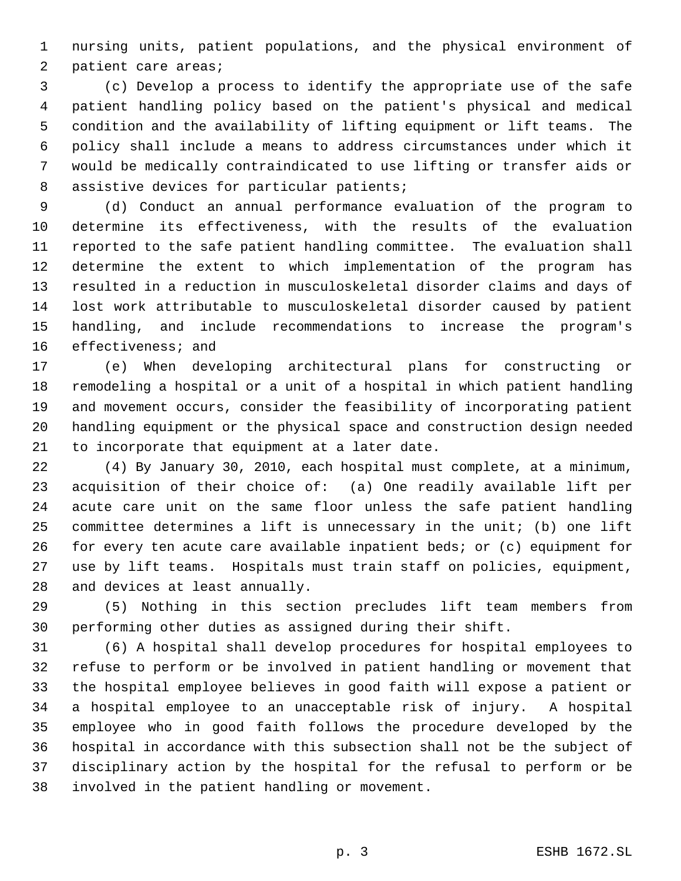nursing units, patient populations, and the physical environment of patient care areas;

 (c) Develop a process to identify the appropriate use of the safe patient handling policy based on the patient's physical and medical condition and the availability of lifting equipment or lift teams. The policy shall include a means to address circumstances under which it would be medically contraindicated to use lifting or transfer aids or 8 assistive devices for particular patients;

 (d) Conduct an annual performance evaluation of the program to determine its effectiveness, with the results of the evaluation reported to the safe patient handling committee. The evaluation shall determine the extent to which implementation of the program has resulted in a reduction in musculoskeletal disorder claims and days of lost work attributable to musculoskeletal disorder caused by patient handling, and include recommendations to increase the program's effectiveness; and

 (e) When developing architectural plans for constructing or remodeling a hospital or a unit of a hospital in which patient handling and movement occurs, consider the feasibility of incorporating patient handling equipment or the physical space and construction design needed to incorporate that equipment at a later date.

 (4) By January 30, 2010, each hospital must complete, at a minimum, acquisition of their choice of: (a) One readily available lift per acute care unit on the same floor unless the safe patient handling committee determines a lift is unnecessary in the unit; (b) one lift for every ten acute care available inpatient beds; or (c) equipment for use by lift teams. Hospitals must train staff on policies, equipment, and devices at least annually.

 (5) Nothing in this section precludes lift team members from performing other duties as assigned during their shift.

 (6) A hospital shall develop procedures for hospital employees to refuse to perform or be involved in patient handling or movement that the hospital employee believes in good faith will expose a patient or a hospital employee to an unacceptable risk of injury. A hospital employee who in good faith follows the procedure developed by the hospital in accordance with this subsection shall not be the subject of disciplinary action by the hospital for the refusal to perform or be involved in the patient handling or movement.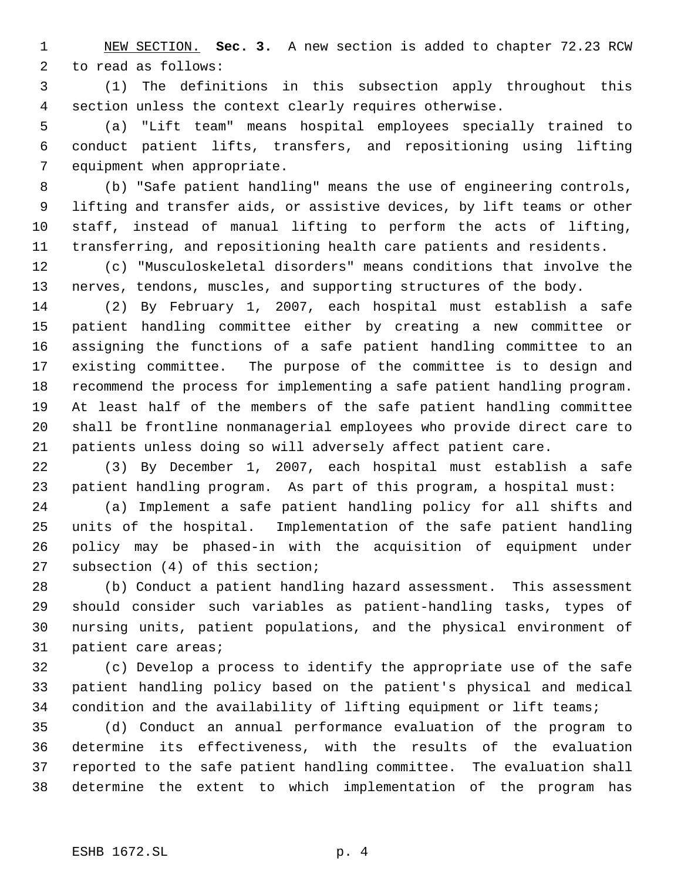NEW SECTION. **Sec. 3.** A new section is added to chapter 72.23 RCW to read as follows:

 (1) The definitions in this subsection apply throughout this section unless the context clearly requires otherwise.

 (a) "Lift team" means hospital employees specially trained to conduct patient lifts, transfers, and repositioning using lifting equipment when appropriate.

 (b) "Safe patient handling" means the use of engineering controls, lifting and transfer aids, or assistive devices, by lift teams or other staff, instead of manual lifting to perform the acts of lifting, transferring, and repositioning health care patients and residents.

 (c) "Musculoskeletal disorders" means conditions that involve the nerves, tendons, muscles, and supporting structures of the body.

 (2) By February 1, 2007, each hospital must establish a safe patient handling committee either by creating a new committee or assigning the functions of a safe patient handling committee to an existing committee. The purpose of the committee is to design and recommend the process for implementing a safe patient handling program. At least half of the members of the safe patient handling committee shall be frontline nonmanagerial employees who provide direct care to patients unless doing so will adversely affect patient care.

 (3) By December 1, 2007, each hospital must establish a safe patient handling program. As part of this program, a hospital must:

 (a) Implement a safe patient handling policy for all shifts and units of the hospital. Implementation of the safe patient handling policy may be phased-in with the acquisition of equipment under subsection (4) of this section;

 (b) Conduct a patient handling hazard assessment. This assessment should consider such variables as patient-handling tasks, types of nursing units, patient populations, and the physical environment of patient care areas;

 (c) Develop a process to identify the appropriate use of the safe patient handling policy based on the patient's physical and medical condition and the availability of lifting equipment or lift teams;

 (d) Conduct an annual performance evaluation of the program to determine its effectiveness, with the results of the evaluation reported to the safe patient handling committee. The evaluation shall determine the extent to which implementation of the program has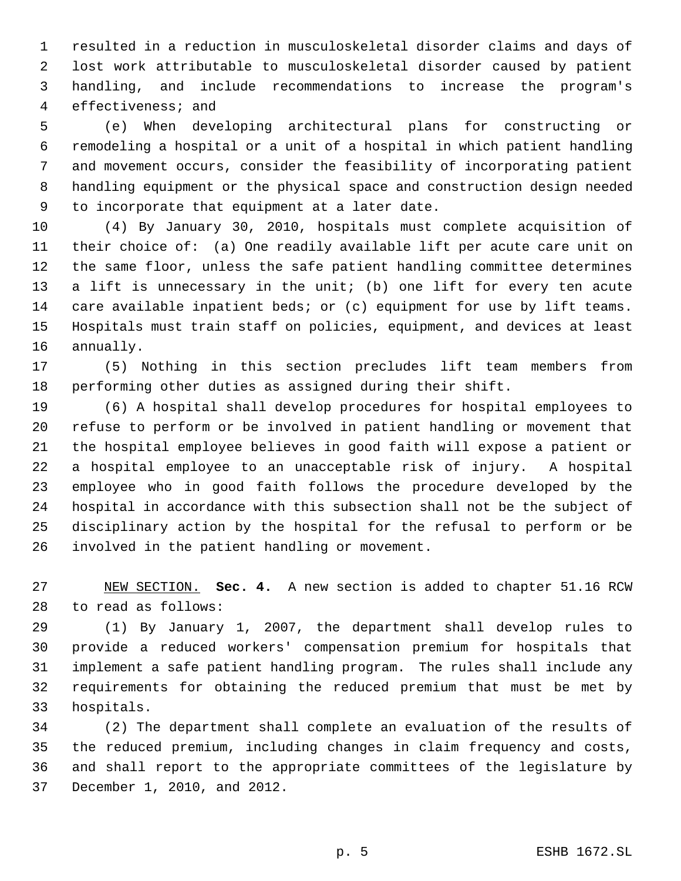resulted in a reduction in musculoskeletal disorder claims and days of lost work attributable to musculoskeletal disorder caused by patient handling, and include recommendations to increase the program's effectiveness; and

 (e) When developing architectural plans for constructing or remodeling a hospital or a unit of a hospital in which patient handling and movement occurs, consider the feasibility of incorporating patient handling equipment or the physical space and construction design needed to incorporate that equipment at a later date.

 (4) By January 30, 2010, hospitals must complete acquisition of their choice of: (a) One readily available lift per acute care unit on the same floor, unless the safe patient handling committee determines a lift is unnecessary in the unit; (b) one lift for every ten acute care available inpatient beds; or (c) equipment for use by lift teams. Hospitals must train staff on policies, equipment, and devices at least annually.

 (5) Nothing in this section precludes lift team members from performing other duties as assigned during their shift.

 (6) A hospital shall develop procedures for hospital employees to refuse to perform or be involved in patient handling or movement that the hospital employee believes in good faith will expose a patient or a hospital employee to an unacceptable risk of injury. A hospital employee who in good faith follows the procedure developed by the hospital in accordance with this subsection shall not be the subject of disciplinary action by the hospital for the refusal to perform or be involved in the patient handling or movement.

 NEW SECTION. **Sec. 4.** A new section is added to chapter 51.16 RCW to read as follows:

 (1) By January 1, 2007, the department shall develop rules to provide a reduced workers' compensation premium for hospitals that implement a safe patient handling program. The rules shall include any requirements for obtaining the reduced premium that must be met by hospitals.

 (2) The department shall complete an evaluation of the results of the reduced premium, including changes in claim frequency and costs, and shall report to the appropriate committees of the legislature by December 1, 2010, and 2012.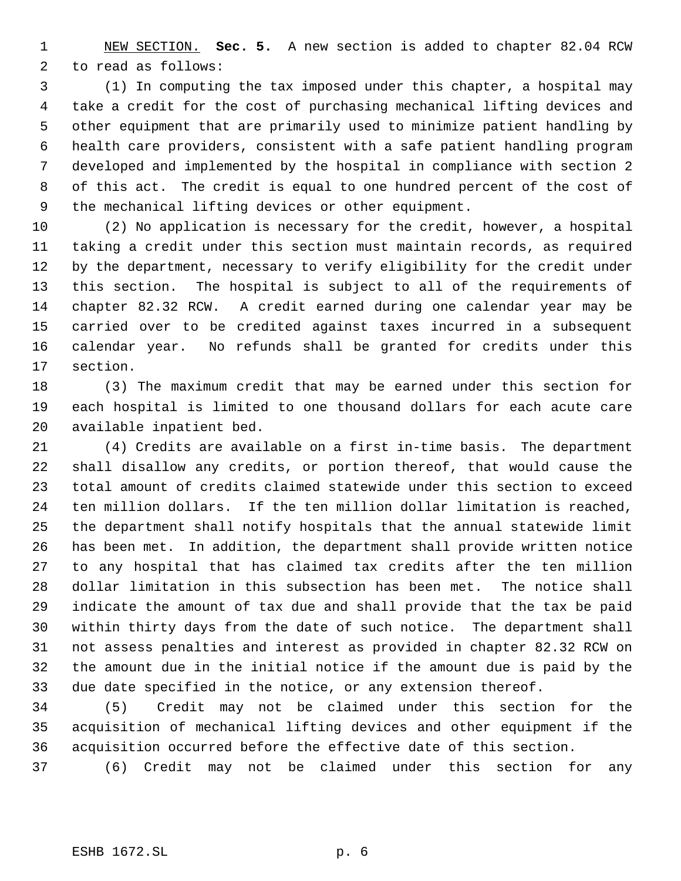NEW SECTION. **Sec. 5.** A new section is added to chapter 82.04 RCW to read as follows:

 (1) In computing the tax imposed under this chapter, a hospital may take a credit for the cost of purchasing mechanical lifting devices and other equipment that are primarily used to minimize patient handling by health care providers, consistent with a safe patient handling program developed and implemented by the hospital in compliance with section 2 of this act. The credit is equal to one hundred percent of the cost of the mechanical lifting devices or other equipment.

 (2) No application is necessary for the credit, however, a hospital taking a credit under this section must maintain records, as required by the department, necessary to verify eligibility for the credit under this section. The hospital is subject to all of the requirements of chapter 82.32 RCW. A credit earned during one calendar year may be carried over to be credited against taxes incurred in a subsequent calendar year. No refunds shall be granted for credits under this section.

 (3) The maximum credit that may be earned under this section for each hospital is limited to one thousand dollars for each acute care available inpatient bed.

 (4) Credits are available on a first in-time basis. The department shall disallow any credits, or portion thereof, that would cause the total amount of credits claimed statewide under this section to exceed ten million dollars. If the ten million dollar limitation is reached, the department shall notify hospitals that the annual statewide limit has been met. In addition, the department shall provide written notice to any hospital that has claimed tax credits after the ten million dollar limitation in this subsection has been met. The notice shall indicate the amount of tax due and shall provide that the tax be paid within thirty days from the date of such notice. The department shall not assess penalties and interest as provided in chapter 82.32 RCW on the amount due in the initial notice if the amount due is paid by the due date specified in the notice, or any extension thereof.

 (5) Credit may not be claimed under this section for the acquisition of mechanical lifting devices and other equipment if the acquisition occurred before the effective date of this section.

(6) Credit may not be claimed under this section for any